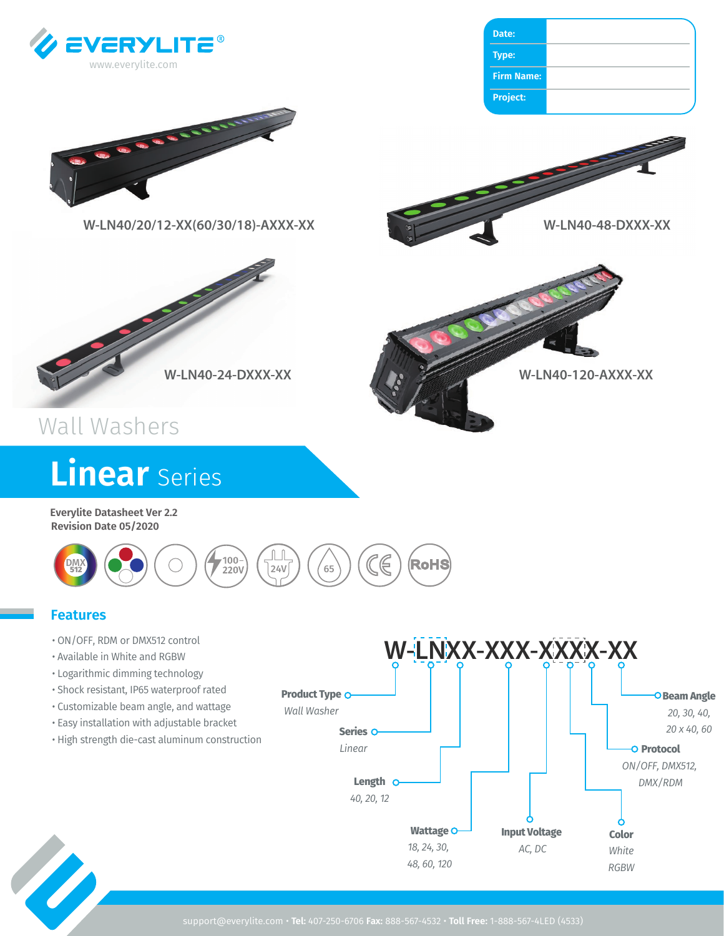



## Wall Washers

# **Linear** Series

**Everylite Datasheet Ver 2.2 Revision Date 05/2020**



## **Features**

- ON/OFF, RDM or DMX512 control
- Available in White and RGBW
- Logarithmic dimming technology
- Shock resistant, IP65 waterproof rated
- Customizable beam angle, and wattage
- Easy installation with adjustable bracket
- High strength die-cast aluminum construction



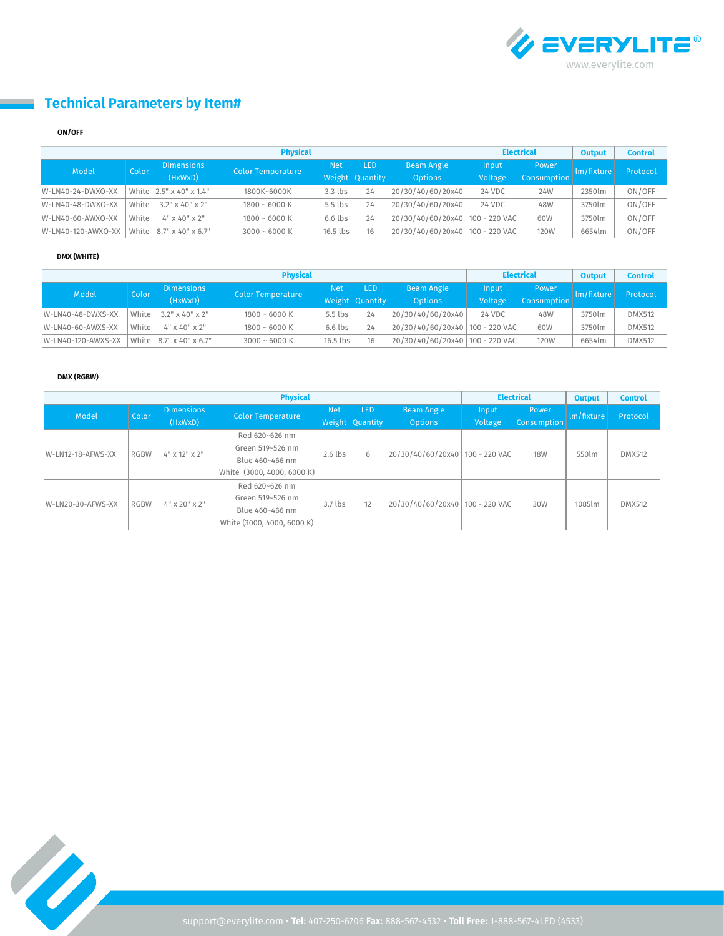

## **Technical Parameters by Item#**

#### **ON/OFF**

| <b>Physical</b>    |       |                           |                          |            |                 |                                 |         | <b>Electrical</b>  |            | <b>Control</b> |
|--------------------|-------|---------------------------|--------------------------|------------|-----------------|---------------------------------|---------|--------------------|------------|----------------|
| Model              | Color | <b>Dimensions</b>         |                          | <b>Net</b> | <b>LED</b>      | <b>Beam Angle</b>               | Input   | Power              | lm/fixture | Protocol       |
|                    |       | (HxWxD)                   | <b>Color Temperature</b> |            | Weight Quantity | <b>Options</b>                  | Voltage | <b>Consumption</b> |            |                |
| W-LN40-24-DWXO-XX  |       | White 2.5" x 40" x 1.4"   | 1800K~6000K              | $3.3$ lbs  | 24              | 20/30/40/60/20x40               | 24 VDC  | 24W                | 2350lm     | ON/OFF         |
| W-LN40-48-DWXO-XX  | White | $3.2$ " x 40" x 2"        | $1800 - 6000$ K          | 5.5 lbs    | 24              | 20/30/40/60/20x40               | 24 VDC  | 48W                | 3750lm     | ON/OFF         |
| W-LN40-60-AWXO-XX  | White | $4" \times 40" \times 2"$ | $1800 - 6000$ K          | $6.6$ lbs  | 24              | 20/30/40/60/20x40 100 - 220 VAC |         | 60W                | 3750lm     | ON/OFF         |
| W-LN40-120-AWXO-XX |       | White 8.7" x 40" x 6.7"   | $3000 - 6000K$           | $16.5$ lbs | 16              | 20/30/40/60/20x40 100 - 220 VAC |         | <b>120W</b>        | 6654lm     | ON/OFF         |

#### **DMX (WHITE)**

| <b>Physical</b>    |       |                                   |                          |            |                 |                                   |         | <b>Electrical</b> | <b>Output</b> | <b>Control</b> |
|--------------------|-------|-----------------------------------|--------------------------|------------|-----------------|-----------------------------------|---------|-------------------|---------------|----------------|
| Model              | Color | <b>Dimensions</b><br>(HxWxD)      |                          | Net.       | <b>LED</b>      | <b>Beam Angle</b>                 | Input   | Power             | Im/fixture    | Protocol       |
|                    |       |                                   | <b>Color Temperature</b> |            | Weight Quantity | <b>Options</b>                    | Voltage | Consumption       |               |                |
| W-LN40-48-DWXS-XX  |       | White $3.2" \times 40" \times 2"$ | $1800 - 6000$ K          | $5.5$ lbs  | 24              | 20/30/40/60/20x40                 | 24 VDC  | 48W               | 3750lm        | <b>DMX512</b>  |
| W-LN40-60-AWXS-XX  | White | 4" x 40" x 2"                     | $1800 - 6000$ K          | $6.6$ lbs  | 24              | 20/30/40/60/20x40 100 - 220 VAC   |         | 60W               | 3750lm        | <b>DMX512</b>  |
| W-LN40-120-AWXS-XX |       | White 8.7" x 40" x 6.7"           | $3000 - 6000K$           | $16.5$ lbs | 16              | 20/30/40/60/20x40   100 - 220 VAC |         | <b>120W</b>       | 6654lm        | <b>DMX512</b>  |

#### **DMX (RGBW)**

| <b>Physical</b>   |             |                              |                            |            |                                     |                                     |                  | <b>Electrical</b>    |            | <b>Control</b> |
|-------------------|-------------|------------------------------|----------------------------|------------|-------------------------------------|-------------------------------------|------------------|----------------------|------------|----------------|
| Model             | Color       | <b>Dimensions</b><br>(HxWxD) | <b>Color Temperature</b>   | <b>Net</b> | LED <sup>1</sup><br>Weight Quantity | <b>Beam Angle</b><br><b>Options</b> | Input<br>Voltage | Power<br>Consumption | Im/fixture | Protocol       |
| W-LN12-18-AFWS-XX | <b>RGBW</b> | $4"$ x 12" x 2"              | Red 620~626 nm             | $2.6$ lbs  | 6                                   | 20/30/40/60/20x40 100 - 220 VAC     |                  | <b>18W</b>           | 550lm      | <b>DMX512</b>  |
|                   |             |                              | Green 519~526 nm           |            |                                     |                                     |                  |                      |            |                |
|                   |             |                              | Blue 460~466 nm            |            |                                     |                                     |                  |                      |            |                |
|                   |             |                              | White (3000, 4000, 6000 K) |            |                                     |                                     |                  |                      |            |                |
| W-LN20-30-AFWS-XX | <b>RGBW</b> | 4" x 20" x 2"                | Red 620~626 nm             |            | 12                                  | 20/30/40/60/20x40 100 - 220 VAC     |                  | 30W                  |            |                |
|                   |             |                              | Green 519~526 nm           | $3.7$ lbs  |                                     |                                     |                  |                      | 1085lm     | <b>DMX512</b>  |
|                   |             |                              | Blue 460~466 nm            |            |                                     |                                     |                  |                      |            |                |
|                   |             |                              | White (3000, 4000, 6000 K) |            |                                     |                                     |                  |                      |            |                |

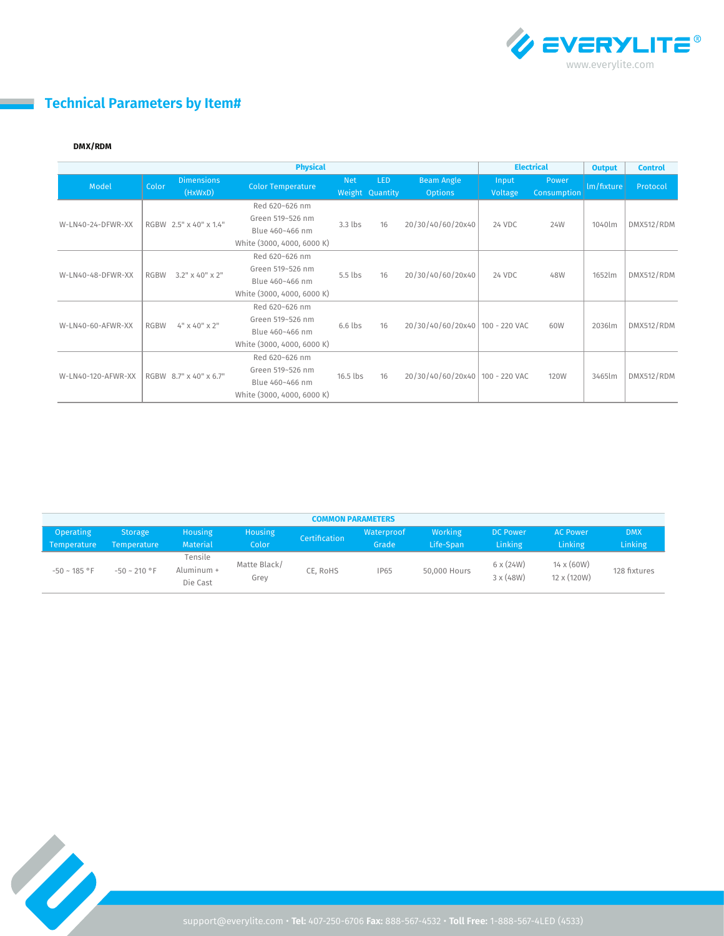

## **Technical Parameters by Item#**

#### **DMX/RDM**

 $\mathbb{R}^2$ 

| <b>Physical</b>    |             |                              |                                                                                     |            |                               |                                     | <b>Electrical</b> |                             | <b>Output</b> | <b>Control</b> |
|--------------------|-------------|------------------------------|-------------------------------------------------------------------------------------|------------|-------------------------------|-------------------------------------|-------------------|-----------------------------|---------------|----------------|
| Model              | Color       | <b>Dimensions</b><br>(HxWxD) | <b>Color Temperature</b>                                                            | <b>Net</b> | <b>LED</b><br>Weight Quantity | <b>Beam Angle</b><br><b>Options</b> | Input<br>Voltage  | Power<br><b>Consumption</b> | lm/fixture    | Protocol       |
| W-LN40-24-DFWR-XX  |             | RGBW 2.5" x 40" x 1.4"       | Red 620~626 nm<br>Green 519~526 nm<br>Blue 460~466 nm<br>White (3000, 4000, 6000 K) | $3.3$ lbs  | 16                            | 20/30/40/60/20x40                   | 24 VDC            | 24W                         | 1040lm        | DMX512/RDM     |
| W-LN40-48-DFWR-XX  | <b>RGBW</b> | $3.2" \times 40" \times 2"$  | Red 620~626 nm<br>Green 519~526 nm<br>Blue 460~466 nm<br>White (3000, 4000, 6000 K) | $5.5$ lbs  | 16                            | 20/30/40/60/20x40                   | 24 VDC            | 48W                         | 1652lm        | DMX512/RDM     |
| W-LN40-60-AFWR-XX  | <b>RGBW</b> | $4"$ x 40" x 2"              | Red 620~626 nm<br>Green 519~526 nm<br>Blue 460~466 nm<br>White (3000, 4000, 6000 K) | $6.6$ lbs  | 16                            | 20/30/40/60/20x40   100 - 220 VAC   |                   | 60W                         | 2036lm        | DMX512/RDM     |
| W-LN40-120-AFWR-XX |             | RGBW 8.7" x 40" x 6.7"       | Red 620~626 nm<br>Green 519~526 nm<br>Blue 460~466 nm<br>White (3000, 4000, 6000 K) | $16.5$ lbs | 16                            | 20/30/40/60/20x40   100 - 220 VAC   |                   | <b>120W</b>                 | 3465lm        | DMX512/RDM     |

| <b>COMMON PARAMETERS</b> |                   |                                   |                      |               |             |              |                                      |                                  |              |  |
|--------------------------|-------------------|-----------------------------------|----------------------|---------------|-------------|--------------|--------------------------------------|----------------------------------|--------------|--|
| <b>Operating</b>         | <b>Storage</b>    | <b>Housing</b>                    | Housing              | Certification | Waterproof  | Working      | <b>DC Power</b>                      | <b>AC Power</b>                  | <b>DMX</b>   |  |
| Temperature              | Temperature       | Material                          | Color                |               | Grade       | Life-Span    | <b>Linking</b>                       | <b>Linking</b>                   | Linking      |  |
| $-50 - 185$ °F           | $-50 \sim 210$ °F | Tensile<br>Aluminum +<br>Die Cast | Matte Black/<br>Grey | CE. RoHS      | <b>IP65</b> | 50,000 Hours | $6 \times (24W)$<br>$3 \times (48W)$ | $14 \times (60W)$<br>12 x (120W) | 128 fixtures |  |

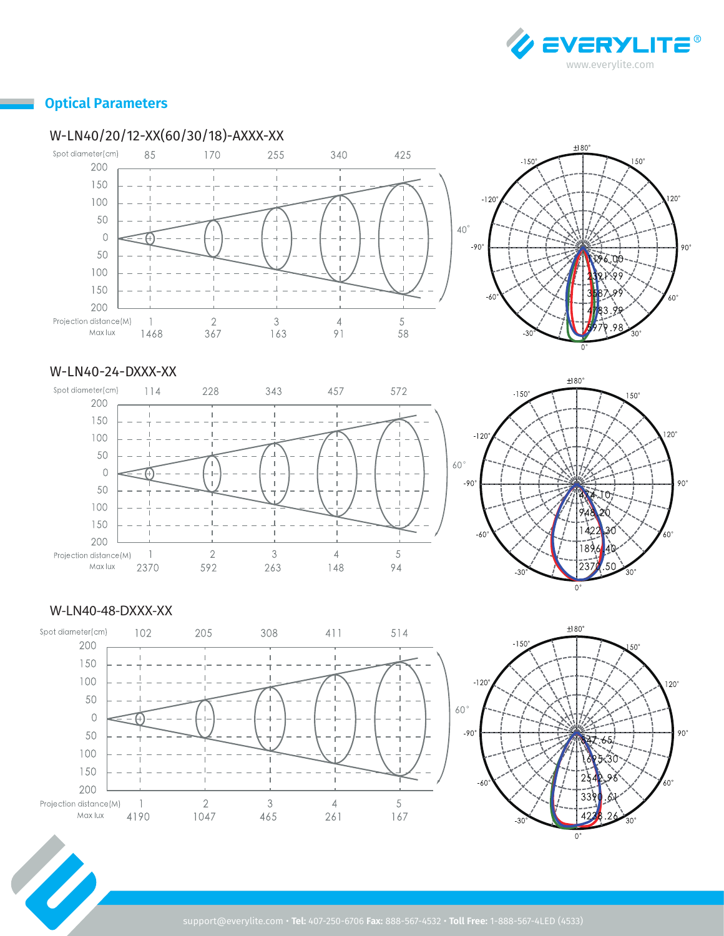

 $120^\circ$ 

 $60^\circ$ 

 $90^\circ$ 

## **Optical Parameters**

## W-LN40/20/12-XX(60/30/18)-AXXX-XX



#### W-LN40-24-DXXX-XX





#### W-LN40-48-DXXX-XX

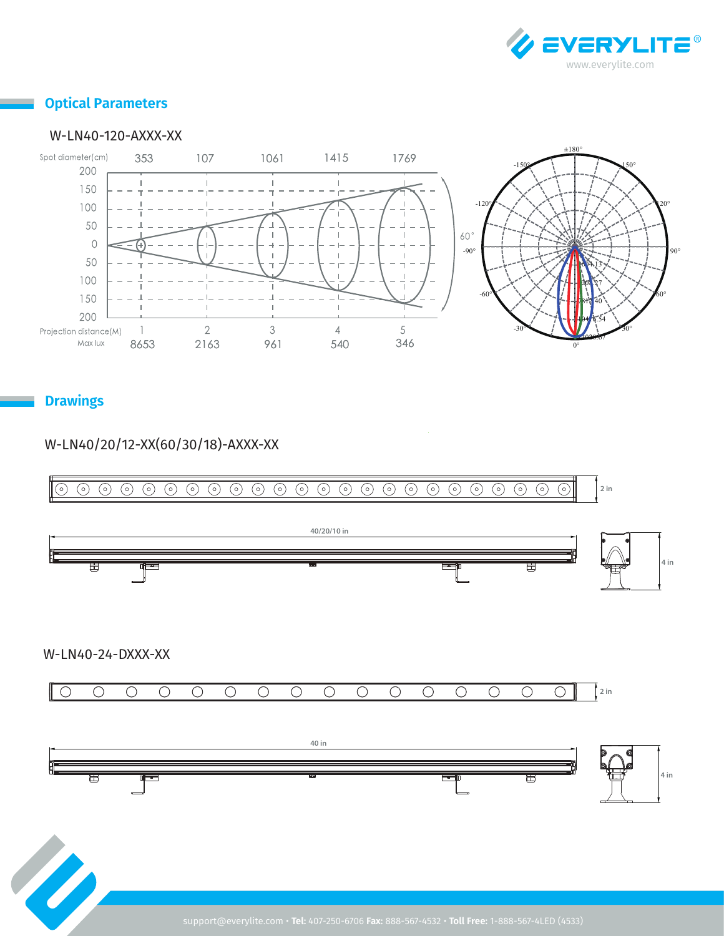

## **Optical Parameters**

#### W-LN40-120-AXXX-XX



**Drawings**

## W-LN40/20/12-XX(60/30/18)-AXXX-XX





W-LN40-24-DXXX-XX